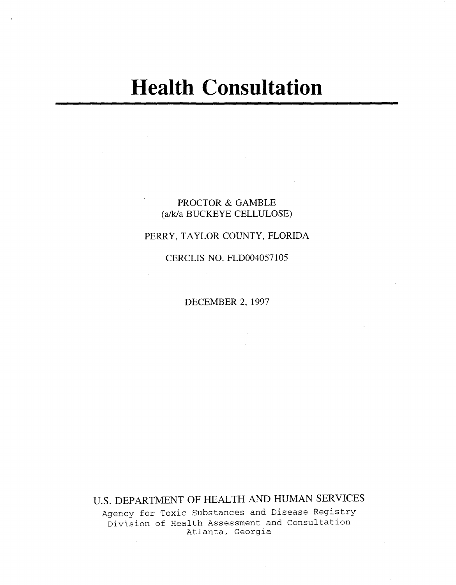### PROCTOR & GAMBLE (a/k/a BUCKEYE CELLULOSE)

 $\sim 10$ 

### PERRY, TAYLOR COUNTY, FLORIDA

CERCLIS NO. FLD004057105

DECEMBER 2, 1997

u.s. DEPARTMENT OF HEALTH AND HUMAN SERVICES

Agency for Toxic Substances and Disease Registry Division of Health Assessment and Consultation Atlanta, Georgia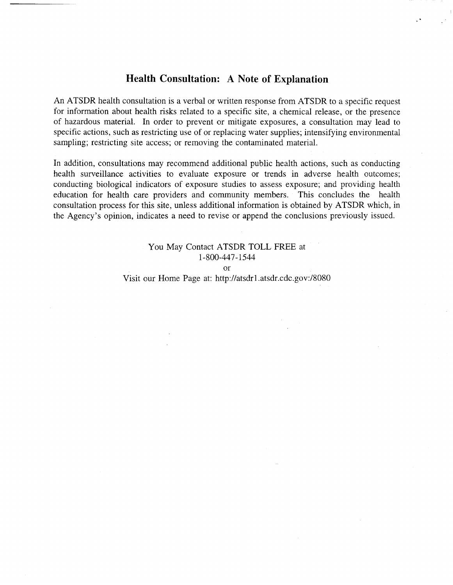### **Health Consultation: A Note of Explanation**

An ATSDR health consultation is a verbal or written response from ATSDR to a specific request for information about health risks related to a specific site, a chemical release, or the presence of hazardous material. In order to prevent or mitigate exposures, a consultation may lead to specific actions, such as restricting use of or replacing water supplies; intensifying environmental sampling; restricting site access; or removing the contaminated material.

In addition, consultations may recommend additional public health actions, such as conducting health surveillance activities to evaluate exposure or trends in adverse health outcomes; conducting biological indicators of exposure studies to assess exposure; and providing health education for health care providers and community members. This concludes the health consultation process for this site, unless additional information is obtained by ATSDR which, in the Agency's opinion, indicates a need to revise or append the conclusions previously issued.

# You May Contact ATSDR TOLL FREE at 1-800-447-1544 or

Visit our Home Page at: http://atsdrl.atsdr.cdc.gov:/8080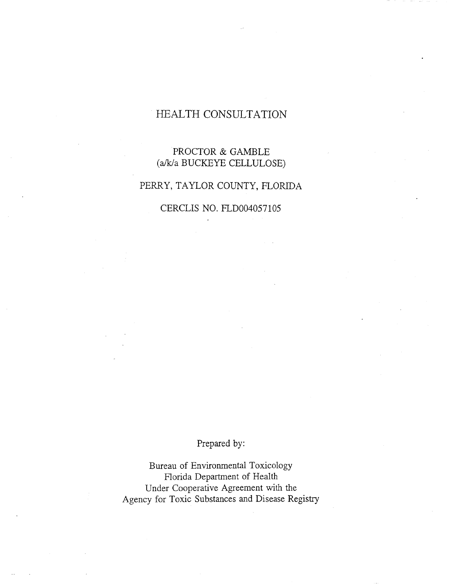# HEALTH CONSULTATION

# PROCTOR & GAMBLE (aJkja BUCKEYE CELLULOSE)

# PERRY, TAYLOR COUNTY, FLORIDA

CERCLIS NO. FLD004057105

# Prepared by:

Bureau of Environmental Toxicology Florida Department of Health Under Cooperative Agreement with the Agency for Toxic Substances and Disease Registry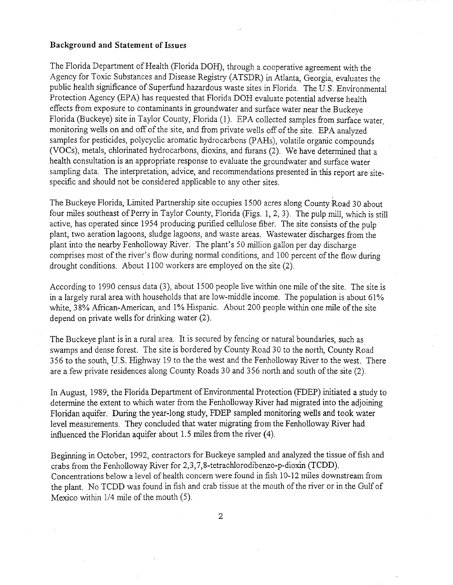#### Background and Statement of Issues

The Florida Department of Health (Florida DOH), through a cooperative agreement with the Agency for *Toxic* Substances and Disease Registry (ATSDR) in Atlanta, Georgia, evaluates the public health significance of Superfund hazardous waste sites in Florida. The U.S. Environmental Protection Agency (EPA) has requested that Florida DOH evaluate potential adverse health effects from exposure to contaminants in groundwater and surface water near the Buckeye Florida (Buckeye) site in Taylor County, Florida (1). EPA collected samples from surface water, monitoring wells on and off of the site, and from private wells off of the site. EPA analyzed samples for pesticides, polycyclic aromatic hydrocarbons (PAHs), volatile organic compounds (VOCs), metals, chlorinated hydrocarbons, dioxins, and furans (2). We have detennined that a health consultation is an appropriate response to evaluate the groundwater and surface water sampling data. The interpretation, advice, and recommendations presented in this report are sitespecific and should not be considered applicable to any other sites.

The Buckeye Florida, Limited Partnership site occupies 1500 acres along County Road 30 about four miles southeast of Perry in Taylor County, Florida (Figs. 1,2,3). The pulp mill, which is still active, has operated since 1954 producing purified cellulose fiber. The site consists of the pulp plant, two aeration lagoons, sludge lagoons, and waste areas. Wastewater discharges from the plant into the nearby Fenholloway River. The plant's 50 million gallon per day discharge comprises most of the river's flow during normal conditions, and 100 percent of the flow during drought conditions. About 1100 workers are employed on the site (2).

According to 1990 census data (3), about 1500 people live within one mile of the site. The site is in a largely rural area with households that are low-middle income. The population is about  $61\%$ white, 38% African-American, and 1% Hispanic. About 200 people within one mile of the site depend on private wells for drinking water (2).

The Buckeye plant is in a rural area. It is secured by fencing or natural boundaries, such as swamps and dense forest. The site is bordered by County Road 30 to the north, County Road 356 to the south, U.S. Highway 19 to the the west and the Fenholloway River to the west. There are a few private residences along County Roads 30 and 356 north and south of the site (2).

In August, 1989, the Florida Department of Environmental Protection (FDEP) initiated a study to determine the extent to which water from the Fenholloway River had migrated into the adjoining Floridan aquifer. During the year-long study, FDEP sampled monitoring wells and took water level measurements. They concluded that water migrating from the Fenholloway River had influenced the Floridan aquifer about l.5 miles from the river (4).

Beginning in October, 1992, contractors for Buckeye sampled and analyzed the tissue of fish and crabs from the Fenholloway River for 2,3,7,8-tetrachlorodibenzo-p-dioxin (TCDD). Concentrations below a level of health concern were found in fish 10-12 miles downstream from the plant. No TCDD was found in fish and crab tissue at the mouth of the river or in the Gulf of *Mexico within 1/4 mile of the mouth (5).* 

2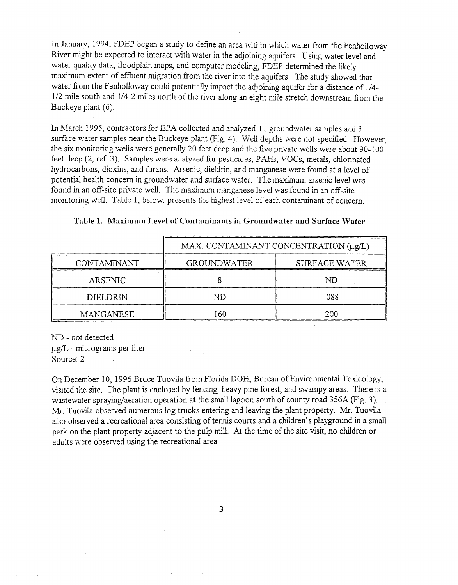In January, 1994, FDEP began a study to define an area within which water from the Fenholloway River *might* be expected to interact with water in the adjoining aquifers. Using water level and water quality data, floodplain maps, and computer modeling, FDEP determined the likely maximum extent of effluent migration from the river into the aquifers. The study showed that water from the Fenholloway could potentially impact the adjoining aquifer for a distance of 1/4- *112* mile south and *1/4-2* miles north of the river along an eight *mile* stretch downstream from the Buckeye plant (6).

In March 1995, contractors for EPA *collected* and analyzed 11 groundwater *samples* and 3 surface water samples near the Buckeye plant (Fig. 4). Well depths were not specified. However, the six monitoring *wells* were generally 20 feet deep and the five private wells were about 90-100 feet deep (2, ref. 3). Samples were analyzed for pesticides, PAHs, VOCs, metals, chlorinated hydrocarbons, dioxins, and furans. Arsenic, dieldrin, and manganese were found at a level of potential health concern in groundwater and surface water. The maximum arsenic level was found in an off-site private well. The maximum manganese level was found in an off-site monitoring well. Table 1, below, presents the highest level of each contaminant of concern.

|                  | MAX. CONTAMINANT CONCENTRATION (µg/L) |                      |  |  |  |
|------------------|---------------------------------------|----------------------|--|--|--|
| CONTAMINANT      | <b>GROUNDWATER</b>                    | <b>SURFACE WATER</b> |  |  |  |
| <b>ARSENIC</b>   |                                       | ND                   |  |  |  |
| DIELDRIN         | ND                                    | .088                 |  |  |  |
| <b>MANGANESE</b> | 160                                   | 200                  |  |  |  |

|  |  |  |  |  | Table 1. Maximum Level of Contaminants in Groundwater and Surface Water |  |  |
|--|--|--|--|--|-------------------------------------------------------------------------|--|--|
|--|--|--|--|--|-------------------------------------------------------------------------|--|--|

ND - not detected llg/L - micrograms per liter

Source: 2

On December 10, 1996 Bruce Tuovila from Florida DOH, Bureau of Environmental Toxicology, visited the site. The plant is enclosed by fencing, heavy pine forest, and swampy areas. There is a wastewater spraying/aeration operation at the small lagoon south of county road 356A (Fig. 3). Mr. Tuovila observed numerous log trucks entering and leaving the plant property. Mr. Tuovila also observed a recreational area consisting of tennis courts and a children's playground in a small park on the plant property adjacent to the pulp mill. At the time of the site visit, no children or adults were observed using the recreational area.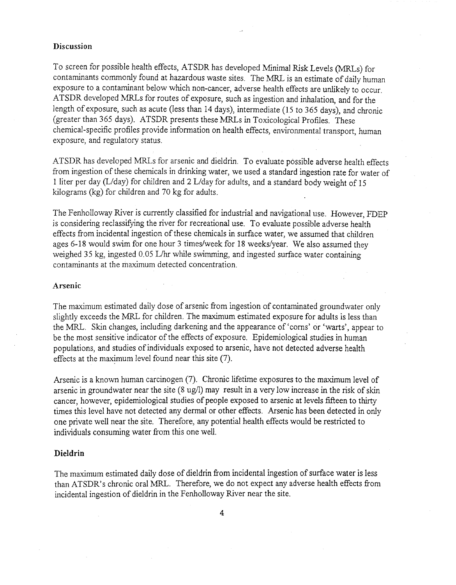#### **Discussion**

To screen for possible health effects, ATSDR has developed Minimal *Risk* Levels (MRLs) for contaminants commonly found at hazardous waste sites. The MRL is an estimate of daily human exposure to a contaminant below which non-cancer, adverse health effects are unlikely to occur. ATSDR developed MRLs for routes of exposure, such as ingestion and inhalation, and for the length of exposure, such as acute (less than 14 days), intermediate (15 to 365 days), and chronic (greater than 365 days). ATSDR presents these MRLs in Toxicological Profiles. These chemical-specific profiles provide information on health effects, environmental transport, human exposure, and regulatory status.

ATSDR has developed MRLs for arsenic and dieldrin. To evaluate possible adverse health effects from ingestion of these chemicals in drinking water, we used a standard ingestion rate for water of 1 liter per day (L/day) for children and 2 L/day for adults, and a standard body weight of 15 kilograms (kg) for children and 70 kg for adults.

The Fenholloway River is currently classified for industrial and navigational use. However, FDEP is considering reclassifying the river for recreational use. To evaluate possible adverse health effects from incidental ingestion of these chemicals in surface water, we assumed that children ages 6-18 would swim for one hour 3 times/week for 18 weeks/year. We also assumed they weighed 35 kg, ingested 0.05 L/hr while swimming, and ingested surface water containing contaminants at the maximum detected concentration.

#### **Arsenic**

The maximum estimated daily dose of arsenic from ingestion of contaminated groundwater only slightly exceeds the MRL for children. The maximum estimated exposure for adults is less than the MRL. Skin changes, including darkening and the appearance of 'corns' or 'warts', appear to be the most sensitive indicator of the effects of exposure. Epidemiological studies in human populations, and studies of individuals exposed to arsenic, have not detected adverse health effects at the maximum level found near this site  $(7)$ .

Arsenic is a known human carcinogen (7). Chronic lifetime exposures to the maximum level of arsenic in groundwater near the site  $(8 \text{ ug/l})$  may result in a very low increase in the risk of skin cancer, however, epidemiological studies of people exposed to arsenic at levels fifteen to thirty times this level have not detected any dermal or other effects. Arsenic has been detected in only one private well near the site. Therefore, any potential health effects would be restricted to individuals consuming water from this one well.

#### **Dieldrin**

The maximum estimated daily dose of dieldrin from incidental ingestion of surface water is less than ATSDR's chronic oral MRL. Therefore, we do not expect any adverse health effects from incidental ingestion of dieldrin in the Fenholloway River near the site.

4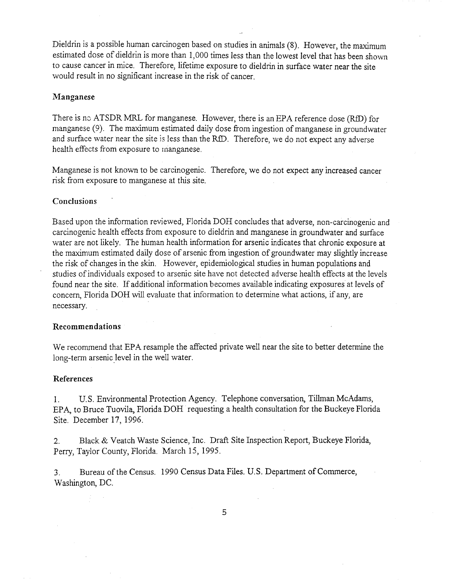Dieldrin is a possible human carcinogen based on studies in animals (8). However, the maximum estimated dose of dieldrin is more than 1,000 times less than the lowest level that has been shown to cause cancer in mice. Therefore, lifetime exposure to dieldrin in surface water near the site would result in no significant increase in the risk of cancer.

#### **Manganese**

There is no ATSDR MRL for manganese. However, there is an EPA reference dose (RfD) for manganese (9). The maximum estimated daily dose from ingestion of manganese in groundwater and surface water near the site is less than the RID. Therefore, we do not expect any adverse health effects from exposure to manganese.

Manganese is not known to be carcinogenic. Therefore, we do not expect any increased cancer risk from exposure to manganese at this site.

#### **Conclusions**

Based upon the information reviewed, Florida DOH concludes that adverse, non-carcinogenic and carcinogenic health effects from exposure to dieldrin and manganese in groundwater and surface water are not likely. The human health information for arsenic indicates that chronic exposure at the maximum estimated daily dose of arsenic from ingestion of groundwater may slightly increase the risk of changes in the skin. However, epidemiological studies in human populations and studies of individuals exposed to arsenic site have not detected adverse health effects at the levels found near the site. If additional information becomes available indicating exposures at levels of concern, Florida DOH will evaluate that information to determine what actions, if any, are necessary.

#### **Recommendations**

We recommend that EPA resample the affected private well near the site to better determine the long-term arsenic level in the well water.

#### **References**

1. U.S. Environmental Protection Agency. Telephone conversation, Tillman McAdams, EPA, to Bruce Tuovila, Florida DOH requesting a health consultation for the Buckeye Florida Site. December 17, 1996.

2. Black & Veatch Waste Science, Inc. Draft Site Inspection Report, Buckeye Florida, Perry, Taylor County, Florida. March 15, 1995.

3. Bureau of the Census. 1990 Census Data Files. U.S. Department of Commerce, Washington, DC.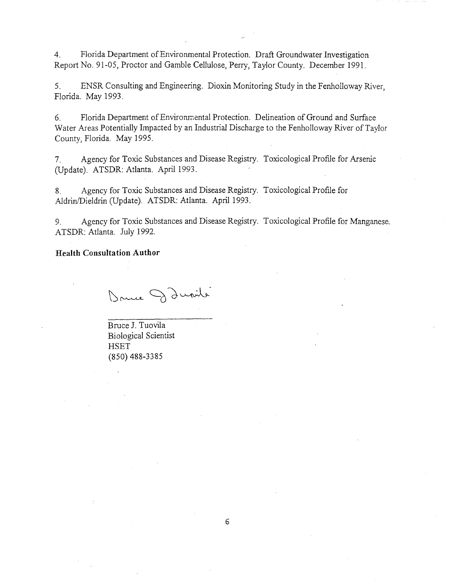4. Florida Department of Environmental Protection. Draft Groundwater Investigation Report No. 91-05, Proctor and Gamble Cellulose, Perry, Taylor County. December 1991.

5. ENSR Consulting and Engineering. Dioxin Monitoring Study in the Fenholloway River, Florida. May 1993.

6. Florida Department of Environmental Protection. Delineation of Ground and Surface Water Areas Potentially Impacted by an Industrial Discharge to the Fenholloway River of Taylor County, Florida. May 1995.

7. Agency for Toxic Substances and Disease Registry. Toxicological Profile for Arsenic (Update). ATSDR: Atlanta. April 1993.

8. Agency for Toxic Substances and Disease Registry. Toxicological Profile for Aldrin/Dieldrin (Update). ATSDR: Atlanta. April 1993.

9. Agency for Toxic Substances and Disease Registry. Toxicological Profile for Manganese. ATSDR: Atlanta. July 1992.

#### **Health Consultation Author**

Dance Danile

Bruce J. Tuovila Biological Scientist **HSET** (850) 488-3385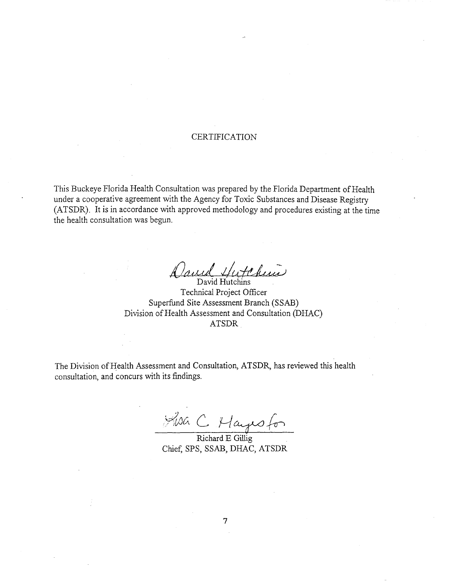#### **CERTIFICATION**

This Buckeye Florida Health Consultation was prepared by the Florida Department of Health under a cooperative agreement with the Agency for *Toxic* Substances and Disease Registry (ATSDR). It is in accordance with approved methodology and procedures existing at the time the health consultation was begun.

Daniel ud Hutchins

Technical Project Officer Superfund Site Assessment Branch (SSAB) Division of Health Assessment and Consultation (DHAC) ATSDR

The Division of Health Assessment and Consultation, ATSDR, has reviewed this health consultation, and concurs with its findings.

Richard E Gillig

Chief, SPS, SSAB, DHAC, ATSDR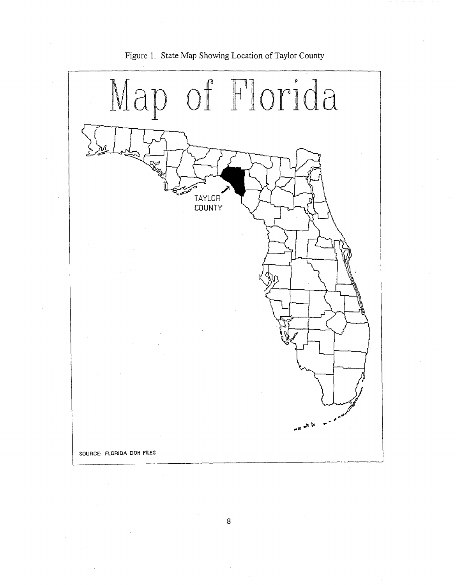

### **Figure 1. State Map Showing Location of Taylor County**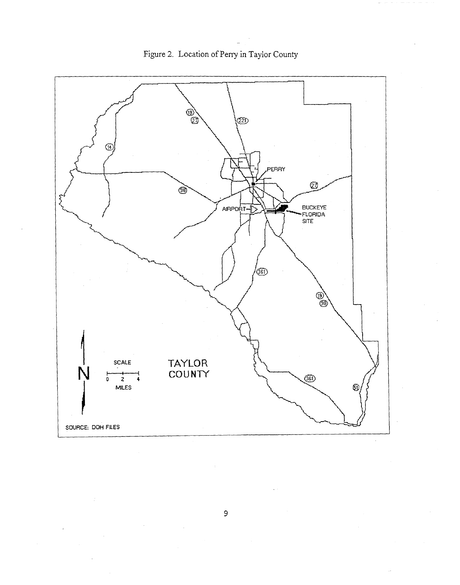

Figure 2. Location of Perry in Taylor County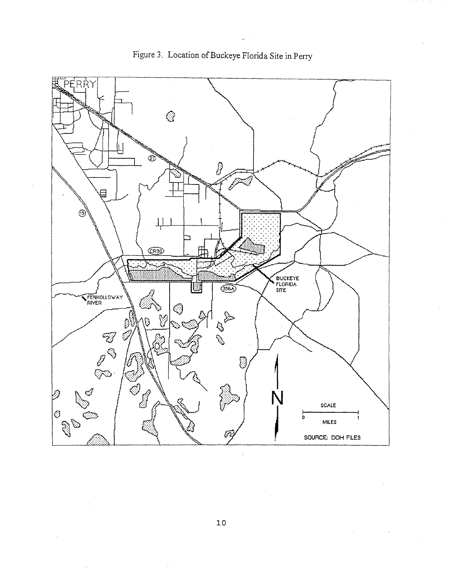

Figure 3. Location of Buckeye Florida Site in Perry